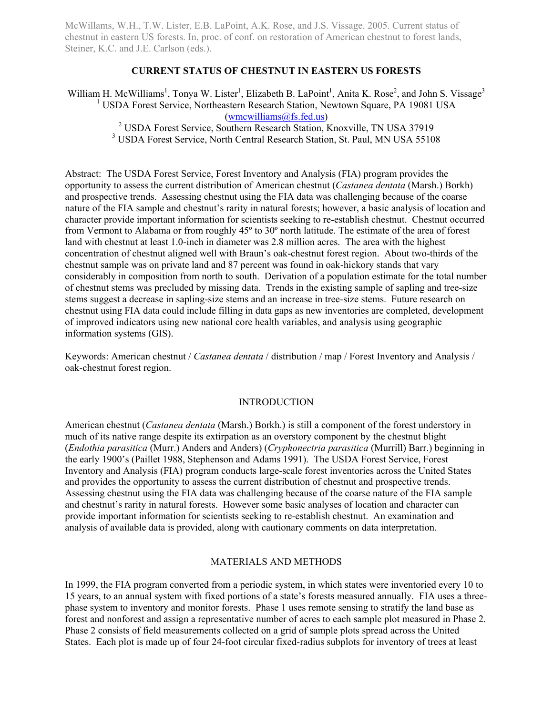McWillams, W.H., T.W. Lister, E.B. LaPoint, A.K. Rose, and J.S. Vissage. 2005. Current status of chestnut in eastern US forests. In, proc. of conf. on restoration of American chestnut to forest lands, Steiner, K.C. and J.E. Carlson (eds.).

# **CURRENT STATUS OF CHESTNUT IN EASTERN US FORESTS**

William H. McWilliams<sup>1</sup>, Tonya W. Lister<sup>1</sup>, Elizabeth B. LaPoint<sup>1</sup>, Anita K. Rose<sup>2</sup>, and John S. Vissage<sup>3</sup> <sup>1</sup> USDA Forest Service, Northeastern Research Station, Newtown Square, PA 19081 USA (wmcwilliams@fs.fed.us) <sup>2</sup> USDA Forest Service, Southern Research Station, Knoxville, TN USA 37919

<sup>3</sup> USDA Forest Service, North Central Research Station, St. Paul, MN USA 55108

Abstract: The USDA Forest Service, Forest Inventory and Analysis (FIA) program provides the opportunity to assess the current distribution of American chestnut (*Castanea dentata* (Marsh.) Borkh) and prospective trends. Assessing chestnut using the FIA data was challenging because of the coarse nature of the FIA sample and chestnut's rarity in natural forests; however, a basic analysis of location and character provide important information for scientists seeking to re-establish chestnut. Chestnut occurred from Vermont to Alabama or from roughly 45º to 30º north latitude. The estimate of the area of forest land with chestnut at least 1.0-inch in diameter was 2.8 million acres. The area with the highest concentration of chestnut aligned well with Braun's oak-chestnut forest region. About two-thirds of the chestnut sample was on private land and 87 percent was found in oak-hickory stands that vary considerably in composition from north to south. Derivation of a population estimate for the total number of chestnut stems was precluded by missing data. Trends in the existing sample of sapling and tree-size stems suggest a decrease in sapling-size stems and an increase in tree-size stems. Future research on chestnut using FIA data could include filling in data gaps as new inventories are completed, development of improved indicators using new national core health variables, and analysis using geographic information systems (GIS).

Keywords: American chestnut / *Castanea dentata* / distribution / map / Forest Inventory and Analysis / oak-chestnut forest region.

## INTRODUCTION

American chestnut (*Castanea dentata* (Marsh.) Borkh.) is still a component of the forest understory in much of its native range despite its extirpation as an overstory component by the chestnut blight (*Endothia parasitica* (Murr.) Anders and Anders) (*Cryphonectria parasitica* (Murrill) Barr.) beginning in the early 1900's (Paillet 1988, Stephenson and Adams 1991). The USDA Forest Service, Forest Inventory and Analysis (FIA) program conducts large-scale forest inventories across the United States and provides the opportunity to assess the current distribution of chestnut and prospective trends. Assessing chestnut using the FIA data was challenging because of the coarse nature of the FIA sample and chestnut's rarity in natural forests. However some basic analyses of location and character can provide important information for scientists seeking to re-establish chestnut. An examination and analysis of available data is provided, along with cautionary comments on data interpretation.

### MATERIALS AND METHODS

In 1999, the FIA program converted from a periodic system, in which states were inventoried every 10 to 15 years, to an annual system with fixed portions of a state's forests measured annually. FIA uses a threephase system to inventory and monitor forests. Phase 1 uses remote sensing to stratify the land base as forest and nonforest and assign a representative number of acres to each sample plot measured in Phase 2. Phase 2 consists of field measurements collected on a grid of sample plots spread across the United States. Each plot is made up of four 24-foot circular fixed-radius subplots for inventory of trees at least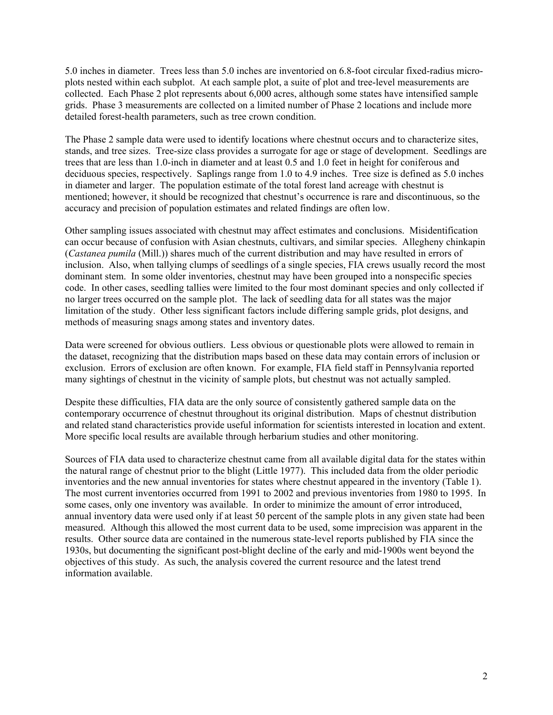5.0 inches in diameter. Trees less than 5.0 inches are inventoried on 6.8-foot circular fixed-radius microplots nested within each subplot. At each sample plot, a suite of plot and tree-level measurements are collected. Each Phase 2 plot represents about 6,000 acres, although some states have intensified sample grids. Phase 3 measurements are collected on a limited number of Phase 2 locations and include more detailed forest-health parameters, such as tree crown condition.

The Phase 2 sample data were used to identify locations where chestnut occurs and to characterize sites, stands, and tree sizes. Tree-size class provides a surrogate for age or stage of development. Seedlings are trees that are less than 1.0-inch in diameter and at least 0.5 and 1.0 feet in height for coniferous and deciduous species, respectively. Saplings range from 1.0 to 4.9 inches. Tree size is defined as 5.0 inches in diameter and larger. The population estimate of the total forest land acreage with chestnut is mentioned; however, it should be recognized that chestnut's occurrence is rare and discontinuous, so the accuracy and precision of population estimates and related findings are often low.

Other sampling issues associated with chestnut may affect estimates and conclusions. Misidentification can occur because of confusion with Asian chestnuts, cultivars, and similar species. Allegheny chinkapin (*Castanea pumila* (Mill.)) shares much of the current distribution and may have resulted in errors of inclusion. Also, when tallying clumps of seedlings of a single species, FIA crews usually record the most dominant stem. In some older inventories, chestnut may have been grouped into a nonspecific species code. In other cases, seedling tallies were limited to the four most dominant species and only collected if no larger trees occurred on the sample plot. The lack of seedling data for all states was the major limitation of the study. Other less significant factors include differing sample grids, plot designs, and methods of measuring snags among states and inventory dates.

Data were screened for obvious outliers. Less obvious or questionable plots were allowed to remain in the dataset, recognizing that the distribution maps based on these data may contain errors of inclusion or exclusion. Errors of exclusion are often known. For example, FIA field staff in Pennsylvania reported many sightings of chestnut in the vicinity of sample plots, but chestnut was not actually sampled.

Despite these difficulties, FIA data are the only source of consistently gathered sample data on the contemporary occurrence of chestnut throughout its original distribution. Maps of chestnut distribution and related stand characteristics provide useful information for scientists interested in location and extent. More specific local results are available through herbarium studies and other monitoring.

Sources of FIA data used to characterize chestnut came from all available digital data for the states within the natural range of chestnut prior to the blight (Little 1977). This included data from the older periodic inventories and the new annual inventories for states where chestnut appeared in the inventory (Table 1). The most current inventories occurred from 1991 to 2002 and previous inventories from 1980 to 1995. In some cases, only one inventory was available. In order to minimize the amount of error introduced, annual inventory data were used only if at least 50 percent of the sample plots in any given state had been measured. Although this allowed the most current data to be used, some imprecision was apparent in the results. Other source data are contained in the numerous state-level reports published by FIA since the 1930s, but documenting the significant post-blight decline of the early and mid-1900s went beyond the objectives of this study. As such, the analysis covered the current resource and the latest trend information available.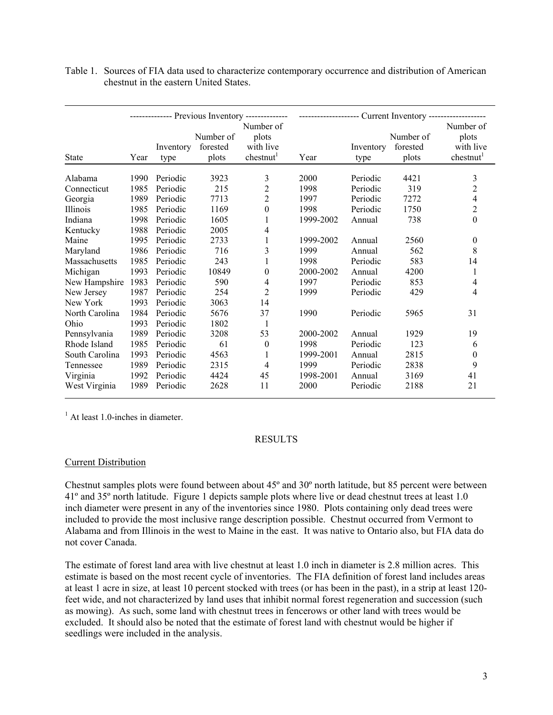|                 |      |                   |                                | -------------- Previous Inventory -------------- | ------------------- Current Inventory ------------------- |                   |                                |                                                          |
|-----------------|------|-------------------|--------------------------------|--------------------------------------------------|-----------------------------------------------------------|-------------------|--------------------------------|----------------------------------------------------------|
| <b>State</b>    | Year | Inventory<br>type | Number of<br>forested<br>plots | Number of<br>plots<br>with live<br>chestnut      | Year                                                      | Inventory<br>type | Number of<br>forested<br>plots | Number of<br>plots<br>with live<br>chestnut <sup>1</sup> |
| Alabama         | 1990 | Periodic          | 3923                           | 3                                                | 2000                                                      | Periodic          | 4421                           | 3                                                        |
| Connecticut     | 1985 | Periodic          | 215                            | $\overline{2}$                                   | 1998                                                      | Periodic          | 319                            | $\overline{2}$                                           |
| Georgia         | 1989 | Periodic          | 7713                           | $\overline{c}$                                   | 1997                                                      | Periodic          | 7272                           | $\overline{\mathcal{L}}$                                 |
| <b>Illinois</b> | 1985 | Periodic          | 1169                           | $\boldsymbol{0}$                                 | 1998                                                      | Periodic          | 1750                           | $\overline{c}$                                           |
| Indiana         | 1998 | Periodic          | 1605                           |                                                  | 1999-2002                                                 | Annual            | 738                            | $\theta$                                                 |
| Kentucky        | 1988 | Periodic          | 2005                           | 4                                                |                                                           |                   |                                |                                                          |
| Maine           | 1995 | Periodic          | 2733                           |                                                  | 1999-2002                                                 | Annual            | 2560                           | 0                                                        |
| Maryland        | 1986 | Periodic          | 716                            | 3                                                | 1999                                                      | Annual            | 562                            | 8                                                        |
| Massachusetts   | 1985 | Periodic          | 243                            | 1                                                | 1998                                                      | Periodic          | 583                            | 14                                                       |
| Michigan        | 1993 | Periodic          | 10849                          | 0                                                | 2000-2002                                                 | Annual            | 4200                           | 1                                                        |
| New Hampshire   | 1983 | Periodic          | 590                            | 4                                                | 1997                                                      | Periodic          | 853                            | 4                                                        |
| New Jersey      | 1987 | Periodic          | 254                            | $\overline{c}$                                   | 1999                                                      | Periodic          | 429                            | 4                                                        |
| New York        | 1993 | Periodic          | 3063                           | 14                                               |                                                           |                   |                                |                                                          |
| North Carolina  | 1984 | Periodic          | 5676                           | 37                                               | 1990                                                      | Periodic          | 5965                           | 31                                                       |
| Ohio            | 1993 | Periodic          | 1802                           | 1                                                |                                                           |                   |                                |                                                          |
| Pennsylvania    | 1989 | Periodic          | 3208                           | 53                                               | 2000-2002                                                 | Annual            | 1929                           | 19                                                       |
| Rhode Island    | 1985 | Periodic          | 61                             | 0                                                | 1998                                                      | Periodic          | 123                            | 6                                                        |
| South Carolina  | 1993 | Periodic          | 4563                           | 1                                                | 1999-2001                                                 | Annual            | 2815                           | $\boldsymbol{0}$                                         |
| Tennessee       | 1989 | Periodic          | 2315                           | 4                                                | 1999                                                      | Periodic          | 2838                           | 9                                                        |
| Virginia        | 1992 | Periodic          | 4424                           | 45                                               | 1998-2001                                                 | Annual            | 3169                           | 41                                                       |
| West Virginia   | 1989 | Periodic          | 2628                           | 11                                               | 2000                                                      | Periodic          | 2188                           | 21                                                       |

Table 1. Sources of FIA data used to characterize contemporary occurrence and distribution of American chestnut in the eastern United States.

<sup>1</sup> At least 1.0-inches in diameter.

#### RESULTS

# Current Distribution

Chestnut samples plots were found between about 45º and 30º north latitude, but 85 percent were between 41º and 35º north latitude. Figure 1 depicts sample plots where live or dead chestnut trees at least 1.0 inch diameter were present in any of the inventories since 1980. Plots containing only dead trees were included to provide the most inclusive range description possible. Chestnut occurred from Vermont to Alabama and from Illinois in the west to Maine in the east. It was native to Ontario also, but FIA data do not cover Canada.

The estimate of forest land area with live chestnut at least 1.0 inch in diameter is 2.8 million acres. This estimate is based on the most recent cycle of inventories. The FIA definition of forest land includes areas at least 1 acre in size, at least 10 percent stocked with trees (or has been in the past), in a strip at least 120 feet wide, and not characterized by land uses that inhibit normal forest regeneration and succession (such as mowing). As such, some land with chestnut trees in fencerows or other land with trees would be excluded. It should also be noted that the estimate of forest land with chestnut would be higher if seedlings were included in the analysis.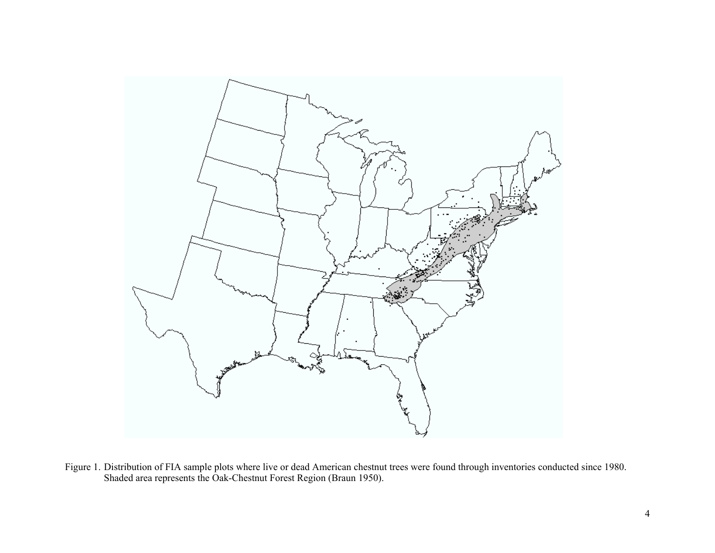

Figure 1. Distribution of FIA sample plots where live or dead American chestnut trees were found through inventories conducted since 1980. Shaded area represents the Oak-Chestnut Forest Region (Braun 1950).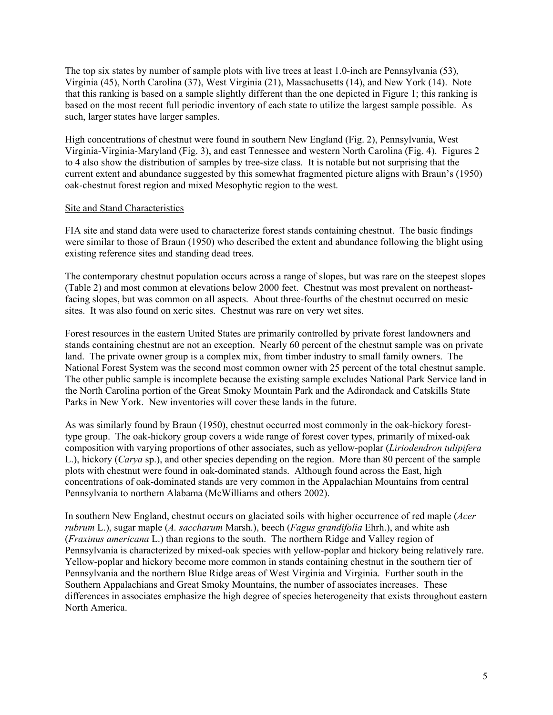The top six states by number of sample plots with live trees at least 1.0-inch are Pennsylvania (53), Virginia (45), North Carolina (37), West Virginia (21), Massachusetts (14), and New York (14). Note that this ranking is based on a sample slightly different than the one depicted in Figure 1; this ranking is based on the most recent full periodic inventory of each state to utilize the largest sample possible. As such, larger states have larger samples.

High concentrations of chestnut were found in southern New England (Fig. 2), Pennsylvania, West Virginia-Virginia-Maryland (Fig. 3), and east Tennessee and western North Carolina (Fig. 4). Figures 2 to 4 also show the distribution of samples by tree-size class. It is notable but not surprising that the current extent and abundance suggested by this somewhat fragmented picture aligns with Braun's (1950) oak-chestnut forest region and mixed Mesophytic region to the west.

### Site and Stand Characteristics

FIA site and stand data were used to characterize forest stands containing chestnut. The basic findings were similar to those of Braun (1950) who described the extent and abundance following the blight using existing reference sites and standing dead trees.

The contemporary chestnut population occurs across a range of slopes, but was rare on the steepest slopes (Table 2) and most common at elevations below 2000 feet. Chestnut was most prevalent on northeastfacing slopes, but was common on all aspects. About three-fourths of the chestnut occurred on mesic sites. It was also found on xeric sites. Chestnut was rare on very wet sites.

Forest resources in the eastern United States are primarily controlled by private forest landowners and stands containing chestnut are not an exception. Nearly 60 percent of the chestnut sample was on private land. The private owner group is a complex mix, from timber industry to small family owners. The National Forest System was the second most common owner with 25 percent of the total chestnut sample. The other public sample is incomplete because the existing sample excludes National Park Service land in the North Carolina portion of the Great Smoky Mountain Park and the Adirondack and Catskills State Parks in New York. New inventories will cover these lands in the future.

As was similarly found by Braun (1950), chestnut occurred most commonly in the oak-hickory foresttype group. The oak-hickory group covers a wide range of forest cover types, primarily of mixed-oak composition with varying proportions of other associates, such as yellow-poplar (*Liriodendron tulipifera* L.), hickory (*Carya* sp.), and other species depending on the region. More than 80 percent of the sample plots with chestnut were found in oak-dominated stands. Although found across the East, high concentrations of oak-dominated stands are very common in the Appalachian Mountains from central Pennsylvania to northern Alabama (McWilliams and others 2002).

In southern New England, chestnut occurs on glaciated soils with higher occurrence of red maple (*Acer rubrum* L.), sugar maple (*A. saccharum* Marsh.), beech (*Fagus grandifolia* Ehrh.), and white ash (*Fraxinus americana* L.) than regions to the south. The northern Ridge and Valley region of Pennsylvania is characterized by mixed-oak species with yellow-poplar and hickory being relatively rare. Yellow-poplar and hickory become more common in stands containing chestnut in the southern tier of Pennsylvania and the northern Blue Ridge areas of West Virginia and Virginia. Further south in the Southern Appalachians and Great Smoky Mountains, the number of associates increases. These differences in associates emphasize the high degree of species heterogeneity that exists throughout eastern North America.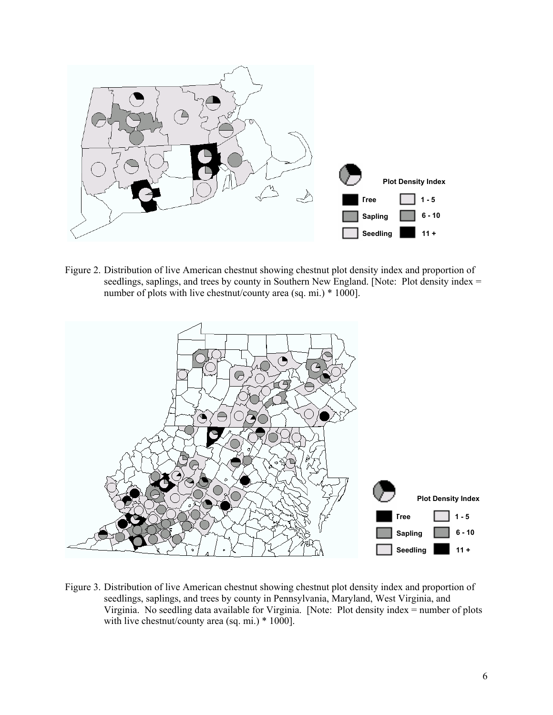

Figure 2. Distribution of live American chestnut showing chestnut plot density index and proportion of seedlings, saplings, and trees by county in Southern New England. [Note: Plot density index = number of plots with live chestnut/county area (sq. mi.) \* 1000].



Figure 3. Distribution of live American chestnut showing chestnut plot density index and proportion of seedlings, saplings, and trees by county in Pennsylvania, Maryland, West Virginia, and Virginia. No seedling data available for Virginia. [Note: Plot density index = number of plots with live chestnut/county area (sq. mi.) \* 1000].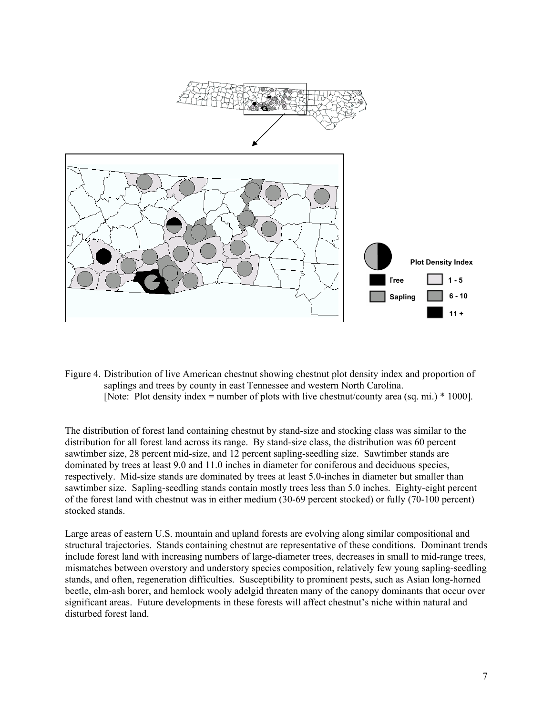

Figure 4. Distribution of live American chestnut showing chestnut plot density index and proportion of saplings and trees by county in east Tennessee and western North Carolina. [Note: Plot density index = number of plots with live chestnut/county area (sq. mi.) \* 1000].

The distribution of forest land containing chestnut by stand-size and stocking class was similar to the distribution for all forest land across its range. By stand-size class, the distribution was 60 percent sawtimber size, 28 percent mid-size, and 12 percent sapling-seedling size. Sawtimber stands are dominated by trees at least 9.0 and 11.0 inches in diameter for coniferous and deciduous species, respectively. Mid-size stands are dominated by trees at least 5.0-inches in diameter but smaller than sawtimber size. Sapling-seedling stands contain mostly trees less than 5.0 inches. Eighty-eight percent of the forest land with chestnut was in either medium (30-69 percent stocked) or fully (70-100 percent) stocked stands.

Large areas of eastern U.S. mountain and upland forests are evolving along similar compositional and structural trajectories. Stands containing chestnut are representative of these conditions. Dominant trends include forest land with increasing numbers of large-diameter trees, decreases in small to mid-range trees, mismatches between overstory and understory species composition, relatively few young sapling-seedling stands, and often, regeneration difficulties. Susceptibility to prominent pests, such as Asian long-horned beetle, elm-ash borer, and hemlock wooly adelgid threaten many of the canopy dominants that occur over significant areas. Future developments in these forests will affect chestnut's niche within natural and disturbed forest land.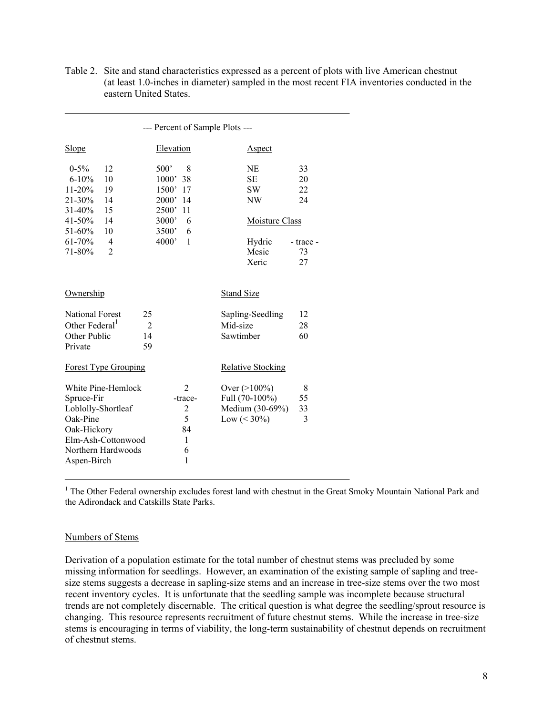| Table 2. Site and stand characteristics expressed as a percent of plots with live American chestnut |
|-----------------------------------------------------------------------------------------------------|
| (at least 1.0-inches in diameter) sampled in the most recent FIA inventories conducted in the       |
| eastern United States.                                                                              |

| --- Percent of Sample Plots ---                                                                  |                                                                |                                                                                                            |                                                                                                                                               |                   |                                                                                         |                                               |  |  |  |
|--------------------------------------------------------------------------------------------------|----------------------------------------------------------------|------------------------------------------------------------------------------------------------------------|-----------------------------------------------------------------------------------------------------------------------------------------------|-------------------|-----------------------------------------------------------------------------------------|-----------------------------------------------|--|--|--|
| <b>Slope</b>                                                                                     |                                                                | Elevation                                                                                                  |                                                                                                                                               |                   | <b>Aspect</b>                                                                           |                                               |  |  |  |
| $0 - 5\%$<br>$6 - 10%$<br>11-20%<br>21-30%<br>31-40%<br>41-50%<br>51-60%<br>$61 - 70%$<br>71-80% | 12<br>10<br>19<br>14<br>15<br>14<br>10<br>4<br>$\overline{2}$  | 500 <sup>'</sup><br>1000'<br>1500' 17<br>2000'<br>2500'<br>3000 <sup>'</sup><br>3500 <sup>'</sup><br>4000' | 8<br>38<br>-14<br>-11<br>6<br>6<br>1                                                                                                          |                   | NE<br><b>SE</b><br><b>SW</b><br>NW<br><b>Moisture Class</b><br>Hydric<br>Mesic<br>Xeric | 33<br>20<br>22<br>24<br>- trace -<br>73<br>27 |  |  |  |
| Ownership                                                                                        |                                                                |                                                                                                            |                                                                                                                                               | <b>Stand Size</b> |                                                                                         |                                               |  |  |  |
| <b>National Forest</b><br>Other Federal <sup>1</sup><br>Other Public<br>Private                  | 25<br>14<br>59                                                 | $\overline{2}$                                                                                             | Sapling-Seedling<br>Mid-size<br>Sawtimber                                                                                                     |                   |                                                                                         | 12<br>28<br>60                                |  |  |  |
|                                                                                                  | <b>Forest Type Grouping</b>                                    |                                                                                                            |                                                                                                                                               |                   | <b>Relative Stocking</b>                                                                |                                               |  |  |  |
| Spruce-Fir<br>Loblolly-Shortleaf<br>Oak-Pine<br>Oak-Hickory<br>Aspen-Birch                       | White Pine-Hemlock<br>Elm-Ash-Cottonwood<br>Northern Hardwoods |                                                                                                            | 2<br>Over $(>100\%)$<br>Full (70-100%)<br>-trace-<br>Medium (30-69%)<br>$\overline{2}$<br>5<br>Low $(< 30\%)$<br>84<br>$\mathbf{1}$<br>6<br>1 |                   |                                                                                         | 8<br>55<br>33<br>3                            |  |  |  |

<sup>1</sup> The Other Federal ownership excludes forest land with chestnut in the Great Smoky Mountain National Park and the Adirondack and Catskills State Parks.

#### Numbers of Stems

Derivation of a population estimate for the total number of chestnut stems was precluded by some missing information for seedlings. However, an examination of the existing sample of sapling and treesize stems suggests a decrease in sapling-size stems and an increase in tree-size stems over the two most recent inventory cycles. It is unfortunate that the seedling sample was incomplete because structural trends are not completely discernable. The critical question is what degree the seedling/sprout resource is changing. This resource represents recruitment of future chestnut stems. While the increase in tree-size stems is encouraging in terms of viability, the long-term sustainability of chestnut depends on recruitment of chestnut stems.